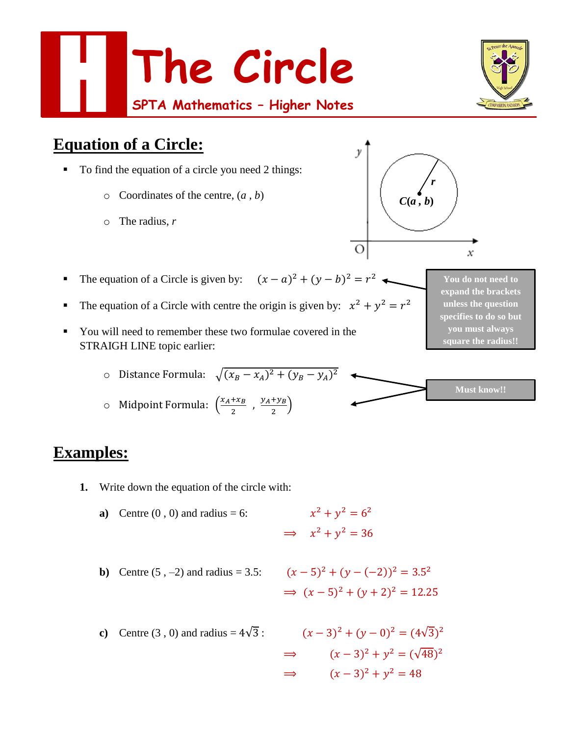

- The equation of a Circle is given by:  $(x a)^2 + (y b)^2 = r^2$
- The equation of a Circle with centre the origin is given by:  $x^2 + y^2 = r^2$
- You will need to remember these two formulae covered in the STRAIGH LINE topic earlier:

$$
\circ \quad \text{Distance Formula:} \quad \sqrt{(x_B - x_A)^2 + (y_B - y_A)^2}
$$

$$
\circ \quad \text{Midpoint Formula: } \left( \frac{x_A + x_B}{2}, \frac{y_A + y_B}{2} \right)
$$

## **Examples:**

- **1.** Write down the equation of the circle with:
	- **a**) Centre  $(0, 0)$  and radius = 6:  $y^2 + y^2 = 6^2$  $\implies x^2 + y^2 = 36$
	- **b**) Centre  $(5, -2)$  and radius = 3.5:

**b)** Centre (5, -2) and radius = 3.5: 
$$
(x-5)^2 + (y-(-2))^2 = 3.5^2
$$
  
 $\Rightarrow (x-5)^2 + (y+2)^2 = 12.25$ 

 $\Omega$ 

**c**) Centre (3, 0) and radius =  $4\sqrt{3}$ :  $(x-3)^2 + (y-0)^2 = (4\sqrt{3})^2$  $\implies$   $(x-3)^2 + y^2 = (\sqrt{48})^2$  $\implies$   $(x-3)^2 + y^2 = 48$ 

**You do not need to expand the brackets unless the question specifies to do so but you must always square the radius!!**

 $\boldsymbol{\mathcal{X}}$ 

**Must know!!**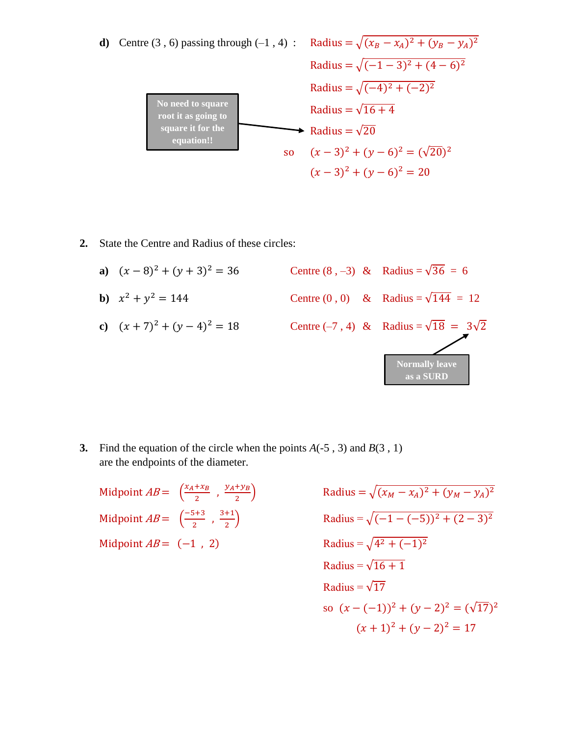

**2.** State the Centre and Radius of these circles:

**a)** 
$$
(x-8)^2 + (y+3)^2 = 36
$$
  
\n**b)**  $x^2 + y^2 = 144$   
\n**c)**  $(x + 7)^2 + (y - 4)^2 = 18$   
\n**c)**  $(x + 7)^2 + (y - 4)^2 = 18$   
\n**d)** Centre (0, 0) & Radius =  $\sqrt{144} = 12$   
\n**e)** Centre (-7, 4) & Radius =  $\sqrt{18} = 3\sqrt{2}$   
\n**Normally leave as a SUBD**

**3.** Find the equation of the circle when the points  $A(-5, 3)$  and  $B(3, 1)$ are the endpoints of the diameter.

Midpoint  $AB = \left(\frac{x_A + x_B}{x_B}\right)$  $\frac{+x_B}{2}$ ,  $\frac{y_A + y_B}{2}$ 2 Midpoint  $AB = \left( \frac{-5+3}{2} \right)$  $\frac{5+3}{2}$ ,  $\frac{3+1}{2}$ 2 Midpoint  $AB = (-1, 2)$ 

 $\int \text{Radius} = \sqrt{(x_M - x_A)^2 + (y_M - y_A)^2}$  $\text{Radius} = \sqrt{(-1 - (-5))^2 + (2 - 3)^2}$  $2 + (-1)^2$ Radius =  $\sqrt{16+1}$ Radius =  $\sqrt{17}$ so  $(x - (-1))^2 + (y - 2)^2 = (\sqrt{17})^2$  $(x + 1)^2 + (y - 2)^2 = 17$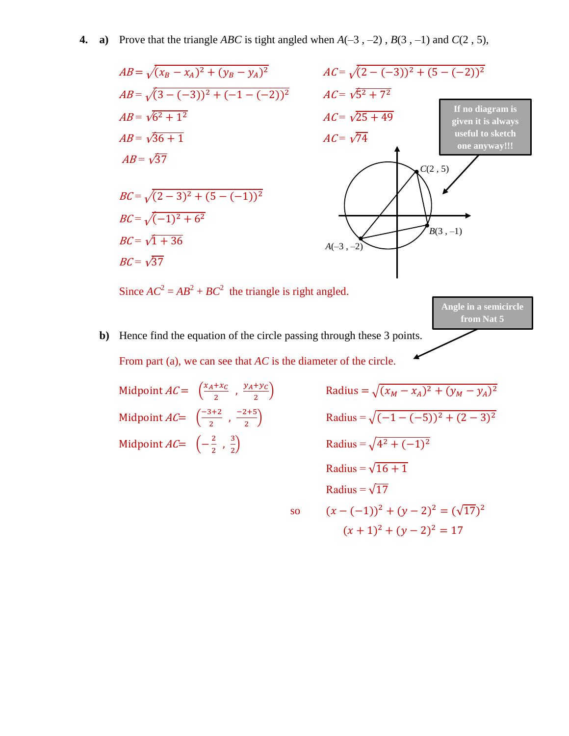#### **4. a**) Prove that the triangle *ABC* is tight angled when  $A(-3, -2)$ ,  $B(3, -1)$  and  $C(2, 5)$ ,



**b)** Hence find the equation of the circle passing through these 3 points. From part (a), we can see that *AC* is the diameter of the circle.

Midpoint  $AC = \left(\frac{x_A + x_C}{x_B}\right)$  $\frac{+x_C}{2}$ ,  $\frac{y_A + y_C}{2}$ 2 Midpoint  $AC = \left(\frac{-3+2}{2}\right)$  $\frac{3+2}{2}$ ,  $\frac{-2+5}{2}$ 2 Midpoint  $AC = \left(-\frac{2}{3}\right)$  $\frac{2}{2}$ ,  $\frac{3}{2}$ 2

 $\text{Radius} = \sqrt{(x_M - x_A)^2 + (y_M - y_A)^2}$  $\text{Radius} = \sqrt{(-1 - (-5))^2 + (2 - 3)^2}$ adius =  $\sqrt{4^2 + (-1)^2}$ Radius =  $\sqrt{16+1}$ Radius =  $\sqrt{17}$ so  $(x - (-1))^2 + (y - 2)^2 = (\sqrt{17})^2$  $(x + 1)^2 + (y - 2)^2 = 17$ 

**from Nat 5**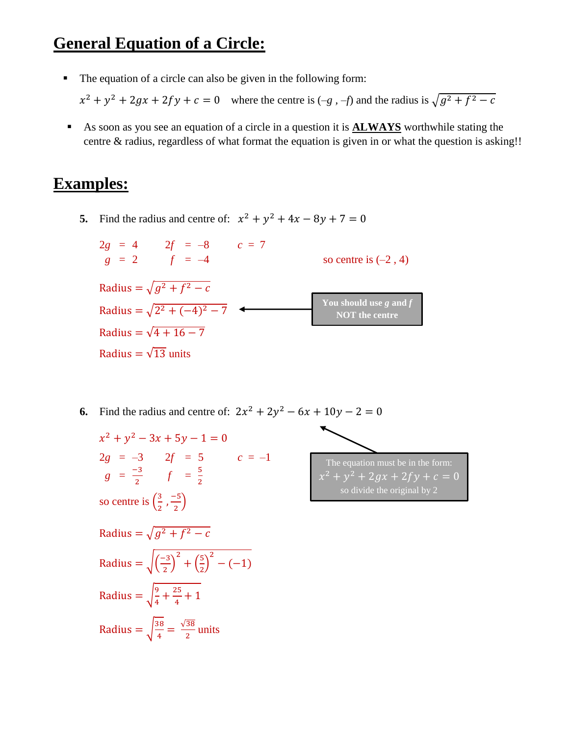# **General Equation of a Circle:**

The equation of a circle can also be given in the following form:

 $x^2 + y^2 + 2gx + 2fy + c = 0$  where the centre is  $(-g, -f)$  and the radius is  $\sqrt{g^2 + f^2 - c}$ 

 As soon as you see an equation of a circle in a question it is **ALWAYS** worthwhile stating the centre & radius, regardless of what format the equation is given in or what the question is asking!!

### **Examples:**

**5.** Find the radius and centre of:  $x^2 + y^2 + 4x - 8y + 7 = 0$ 

$$
2g = 4 \t 2f = -8 \t c = 7
$$
  
\n
$$
g = 2 \t f = -4 \t \t \text{So centre is } (-2, 4)
$$
  
\nRadius =  $\sqrt{g^2 + f^2 - c}$   
\nRadius =  $\sqrt{2^2 + (-4)^2 - 7}$   
\nRadius =  $\sqrt{4 + 16 - 7}$   
\nRadius =  $\sqrt{13}$  units

**6.** Find the radius and centre of:  $2x^2 + 2y^2 - 6x + 10y - 2 = 0$  $x^2 + y^2 - 3x + 5y - 1 = 0$  $2g = -3$   $2f = 5$   $c = -1$  $g = \frac{-3}{2}$  $\frac{-3}{2}$   $f = \frac{5}{2}$ 2 so centre is  $\left(\frac{3}{2}\right)$  $\frac{3}{2}$ ,  $\frac{-5}{2}$  $\frac{15}{2}$ Radius =  $\sqrt{g^2 + f^2} - c$ Radius =  $\sqrt{\frac{-3}{2}}$  $\left(\frac{-3}{2}\right)^2 + \left(\frac{5}{2}\right)$  $\left(\frac{5}{2}\right)^2 - (-1)$ Radius =  $\frac{9}{4}$  $\frac{9}{4} + \frac{25}{4}$  $\frac{15}{4} + 1$ Radius =  $\frac{38}{4}$  $\frac{38}{4} = \frac{\sqrt{38}}{2}$  $\frac{36}{2}$  units The equation must be in the form:  $x^2 + y^2 + 2gx + 2fy + c = 0$ so divide the original by 2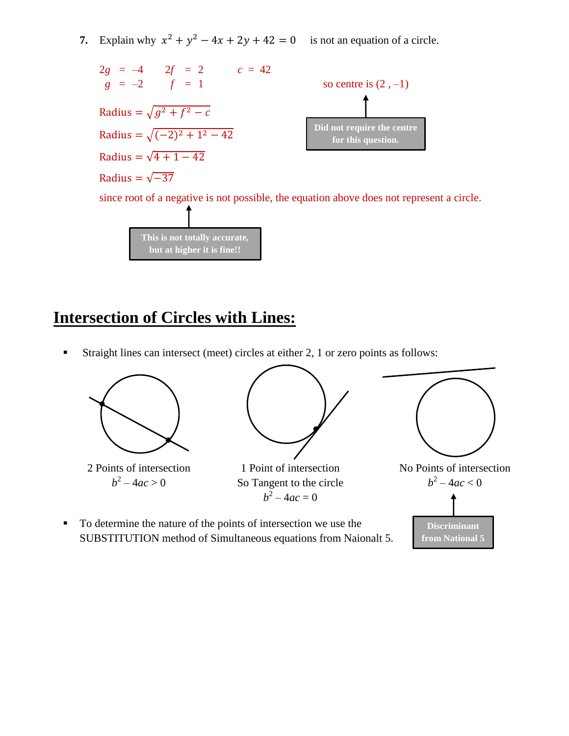**7.** Explain why  $x^2 + y^2 - 4x + 2y + 42 = 0$  is not an equation of a circle.



**This is not totally accurate, but at higher it is fine!!**

# **Intersection of Circles with Lines:**

Straight lines can intersect (meet) circles at either 2, 1 or zero points as follows:

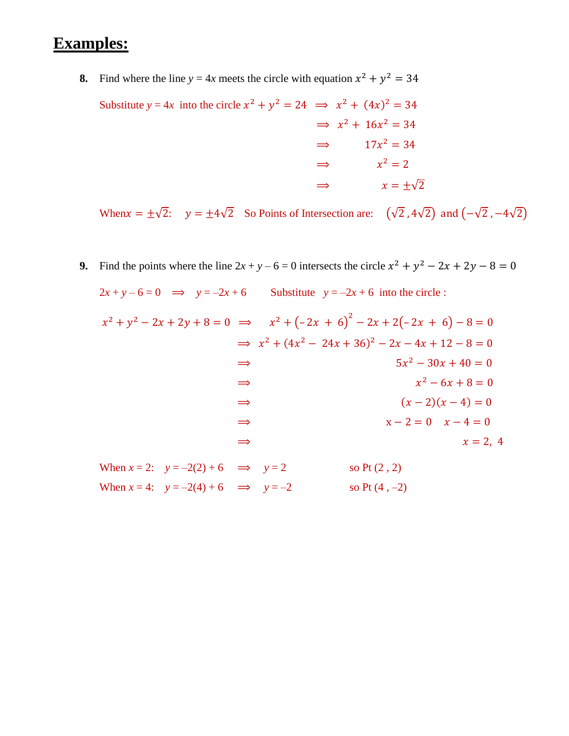### **Examples:**

- **8.** Find where the line  $y = 4x$  meets the circle with equation  $x^2 + y^2 = 34$ 
	- Substitute  $y = 4x$  into the circle  $x^2 + y^2 = 24 \implies x^2 + (4x)^2 = 34$  $\implies x^2 + 16x^2 = 34$  $\implies$  17 $x^2 = 34$  $\implies x^2 = 2$  $\Rightarrow$   $x = \pm \sqrt{2}$

When  $x = \pm\sqrt{2}$ :  $y = \pm 4\sqrt{2}$  So Points of Intersection are:  $(\sqrt{2}, 4\sqrt{2})$  and  $(-\sqrt{2}, -4\sqrt{2})$ 

**9.** Find the points where the line  $2x + y - 6 = 0$  intersects the circle  $x^2 + y^2 - 2x + 2y - 8 = 0$ 

 $2x + y - 6 = 0 \implies y = -2x + 6$  Substitute  $y = -2x + 6$  into the circle :  $x^2 + y^2 - 2x + 2y + 8 = 0 \implies x^2 + (-2x + 6)^2 - 2x + 2(-2x + 6) - 8 = 0$  $\implies x^2 + (4x^2 - 24x + 36)^2 - 2x - 4x + 12 - 8 = 0$  $\Rightarrow$  5x  $5x^2 - 30x + 40 = 0$  $\Rightarrow$   $x$  $x^2 - 6x + 8 = 0$  $\Rightarrow$   $(x-2)(x-4) = 0$  $\Rightarrow$   $x-2=0$   $x-4=0$  $\Rightarrow$   $x = 2, 4$ When  $x = 2$ :  $y = -2(2) + 6$   $\implies$   $y = 2$  so Pt (2, 2) When  $x = 4$ :  $y = -2(4) + 6$   $\implies$   $y = -2$  so Pt (4, -2)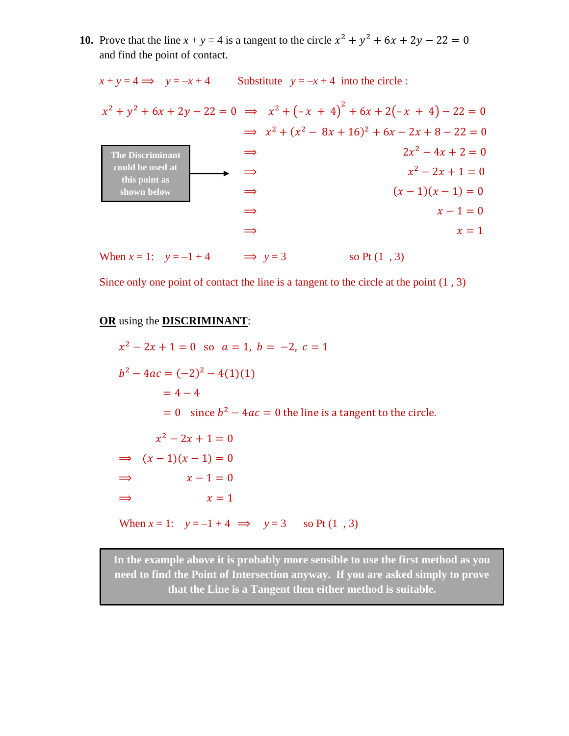**10.** Prove that the line  $x + y = 4$  is a tangent to the circle  $x^2 + y^2 + 6x + 2y - 22 = 0$ and find the point of contact.

 $x + y = 4 \implies y = -x + 4$  Substitute  $y = -x + 4$  into the circle :  $x^2 + y^2 + 6x + 2y - 22 = 0 \implies x^2 + (-x + 4)^2 + 6x + 2(-x + 4) - 22 = 0$  $\implies x^2 + (x^2 - 8x + 16)^2 + 6x - 2x + 8 - 22 = 0$  $\Rightarrow$  2x  $2x^2 - 4x + 2 = 0$  $\Rightarrow$   $x$  $x^2 - 2x + 1 = 0$  $\Rightarrow$   $(x-1)(x-1) = 0$  $\Rightarrow$   $x-1=0$  $\Rightarrow$   $x = 1$ **The Discriminant could be used at this point as shown below**

When  $x = 1$ :  $y = -1 + 4$   $\implies y = 3$  so Pt (1, 3)

Since only one point of contact the line is a tangent to the circle at the point (1 , 3)

#### **OR** using the **DISCRIMINANT**:

 $x^2 - 2x + 1 = 0$  so  $a = 1$ ,  $b = -2$ ,  $c = 1$  $b^2 - 4ac = (-2)^2 - 4(1)(1)$  $= 4 - 4$  $= 0$  since  $b^2 - 4ac = 0$  the line is a tangent to the circle.  $x^2 - 2x + 1 = 0$  $\Rightarrow (x-1)(x-1) = 0$  $\Rightarrow$   $x-1=0$  $\Rightarrow$   $x = 1$ When  $x = 1$ :  $y = -1 + 4 \implies y = 3$  so Pt (1, 3)

**In the example above it is probably more sensible to use the first method as you need to find the Point of Intersection anyway. If you are asked simply to prove that the Line is a Tangent then either method is suitable.**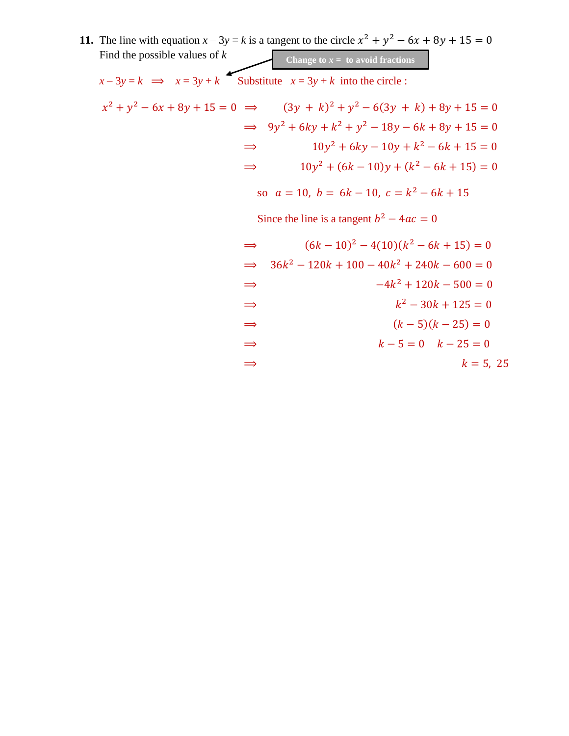|                                                                    | <b>11.</b> The line with equation $x - 3y = k$ is a tangent to the circle $x^2 + y^2 - 6x + 8y + 15 = 0$ |
|--------------------------------------------------------------------|----------------------------------------------------------------------------------------------------------|
| Find the possible values of $k$                                    | Change to $x =$ to avoid fractions                                                                       |
| $x-3y=k$ $\implies$ $x=3y+k$ Substitute $x=3y+k$ into the circle : |                                                                                                          |
|                                                                    | $x^{2} + y^{2} - 6x + 8y + 15 = 0 \implies (3y + k)^{2} + y^{2} - 6(3y + k) + 8y + 15 = 0$               |
|                                                                    | $\implies$ 9y <sup>2</sup> + 6ky + k <sup>2</sup> + y <sup>2</sup> - 18y - 6k + 8y + 15 = 0              |
| $\Rightarrow$                                                      | $10y^2 + 6ky - 10y + k^2 - 6k + 15 = 0$                                                                  |
| $\Rightarrow$                                                      | $10y^{2} + (6k - 10)y + (k^{2} - 6k + 15) = 0$                                                           |
|                                                                    | so $a = 10$ , $b = 6k - 10$ , $c = k^2 - 6k + 15$                                                        |
| Since the line is a tangent $b^2 - 4ac = 0$                        |                                                                                                          |
| $\Rightarrow$                                                      | $(6k-10)^2 - 4(10)(k^2 - 6k + 15) = 0$                                                                   |
| $\Rightarrow$                                                      | $36k^2 - 120k + 100 - 40k^2 + 240k - 600 = 0$                                                            |
| $\Rightarrow$                                                      | $-4k^2 + 120k - 500 = 0$                                                                                 |
| $\Rightarrow$                                                      | $k^2 - 30k + 125 = 0$                                                                                    |
| $\Rightarrow$                                                      | $(k-5)(k-25)=0$                                                                                          |
| $\Rightarrow$                                                      | $k-5=0$ $k-25=0$                                                                                         |

$$
\Rightarrow \qquad k = 5, 25
$$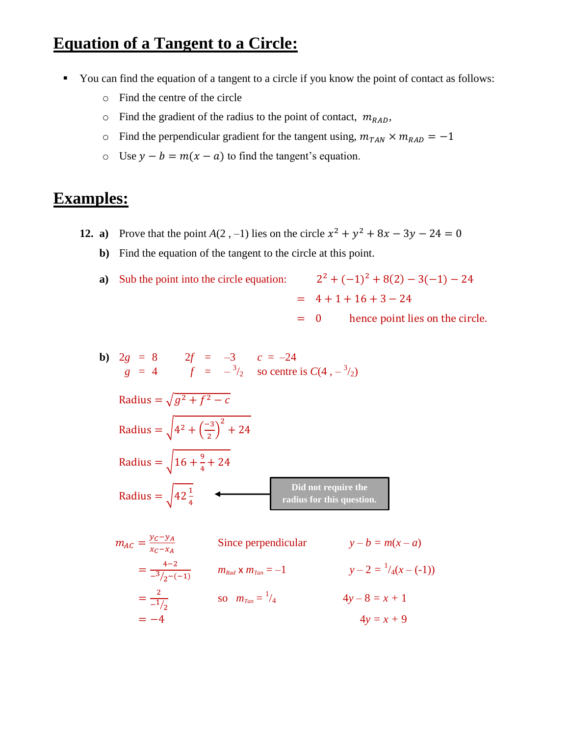# **Equation of a Tangent to a Circle:**

- You can find the equation of a tangent to a circle if you know the point of contact as follows:
	- o Find the centre of the circle
	- $\circ$  Find the gradient of the radius to the point of contact,  $m_{RAD}$ ,
	- o Find the perpendicular gradient for the tangent using,  $m_{TAN} \times m_{RAD} = -1$
	- o Use  $y b = m(x a)$  to find the tangent's equation.

### **Examples:**

- **12. a**) Prove that the point *A*(2, -1) lies on the circle  $x^2 + y^2 + 8x 3y 24 = 0$ 
	- **b)** Find the equation of the tangent to the circle at this point.
	- **a**) Sub the point into the circle equation:

$$
2^{2} + (-1)^{2} + 8(2) - 3(-1) - 24
$$
  
= 4 + 1 + 16 + 3 - 24  
= 0, hence point lies on the circle

 $= 0$  hence point lies on the circle.

**b**)  $2g = 8$   $2f = -3$   $c = -24$ *g* = 4  $f = -\frac{3}{2}$  so centre is  $C(4, -\frac{3}{2})$ Radius =  $\sqrt{g^2 + f^2} - c$ Radius =  $\sqrt{4^2 + \left(\frac{-3}{2}\right)^2}$  $\left(\frac{-3}{2}\right)^2$  + 24 Radius =  $\int 16 + \frac{9}{5}$  $\frac{9}{4}$  + 24 Radius =  $\sqrt{42\frac{1}{4}}$ **Did not require the radius for this question.**

$$
m_{AC} = \frac{y_C - y_A}{x_C - x_A}
$$
 Since perpendicular  $y - b = m(x - a)$   
=  $\frac{4-2}{-3/2 - (-1)}$   $m_{Rad} \times m_{Tan} = -1$   $y - 2 = \frac{1}{4}(x - (-1))$   
=  $\frac{2}{-1/2}$  so  $m_{Tan} = \frac{1}{4}$   $4y - 8 = x + 1$   
=  $-4$   $4y = x + 9$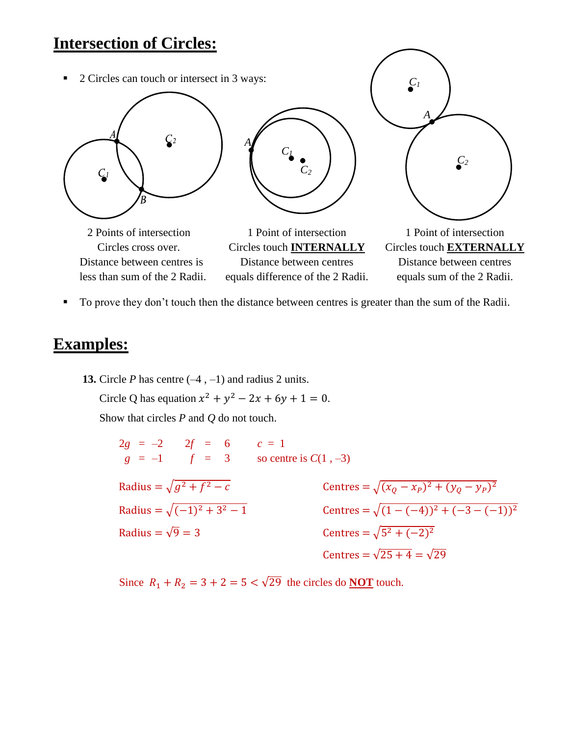## **Intersection of Circles:**



To prove they don't touch then the distance between centres is greater than the sum of the Radii.

## **Examples:**

**13.** Circle *P* has centre  $(-4, -1)$  and radius 2 units. Circle Q has equation  $x^2 + y^2 - 2x + 6y + 1 = 0$ .

Show that circles *P* and *Q* do not touch.

 $2g = -2$   $2f = 6$   $c = 1$  $g = -1$   $f = 3$  so centre is  $C(1, -3)$ Radius =  $\sqrt{g^2 + f^2 - c}$  $\frac{2}{2-c}$  Centres =  $\sqrt{(x_Q - x_P)^2 + (y_Q - y_P)^2}$ Radius =  $\sqrt{(-1)^2 + 3}$  $\sqrt{2-1}$  Centres =  $\sqrt{(1-(-4))^2+(-3-(-1))^2}$ Radius =  $\sqrt{9}$  = 3  $^{2}+(-2)^{2}$ Centres =  $\sqrt{25 + 4} = \sqrt{29}$ 

Since  $R_1 + R_2 = 3 + 2 = 5 < \sqrt{29}$  the circles do **NOT** touch.